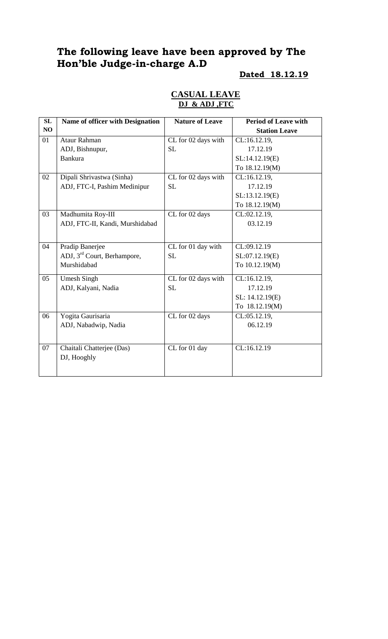# **The following leave have been approved by The Hon'ble Judge-in-charge A.D**

# **Dated 18.12.19**

|  | <b>CASUAL LEAVE</b> |  |
|--|---------------------|--|
|  | DJ & ADJ, FTC       |  |

| SL             | Name of officer with Designation        | <b>Nature of Leave</b> | <b>Period of Leave with</b> |
|----------------|-----------------------------------------|------------------------|-----------------------------|
| N <sub>O</sub> |                                         |                        | <b>Station Leave</b>        |
| 01             | <b>Ataur Rahman</b>                     | CL for 02 days with    | CL:16.12.19,                |
|                | ADJ, Bishnupur,                         | <b>SL</b>              | 17.12.19                    |
|                | <b>Bankura</b>                          |                        | SL:14.12.19(E)              |
|                |                                         |                        | To 18.12.19(M)              |
| 02             | Dipali Shrivastwa (Sinha)               | CL for 02 days with    | CL:16.12.19,                |
|                | ADJ, FTC-I, Pashim Medinipur            | <b>SL</b>              | 17.12.19                    |
|                |                                         |                        | SL:13.12.19(E)              |
|                |                                         |                        | To 18.12.19(M)              |
| 03             | Madhumita Roy-III                       | CL for 02 days         | CL:02.12.19,                |
|                | ADJ, FTC-II, Kandi, Murshidabad         |                        | 03.12.19                    |
|                |                                         |                        |                             |
| 04             | Pradip Banerjee                         | CL for 01 day with     | CL:09.12.19                 |
|                | ADJ, 3 <sup>rd</sup> Court, Berhampore, | <b>SL</b>              | SL:07.12.19(E)              |
|                | Murshidabad                             |                        | To 10.12.19(M)              |
| 05             | <b>Umesh Singh</b>                      | CL for 02 days with    | CL:16.12.19,                |
|                | ADJ, Kalyani, Nadia                     | <b>SL</b>              | 17.12.19                    |
|                |                                         |                        | SL: 14.12.19(E)             |
|                |                                         |                        | To 18.12.19(M)              |
| 06             | Yogita Gaurisaria                       | CL for 02 days         | CL:05.12.19,                |
|                | ADJ, Nabadwip, Nadia                    |                        | 06.12.19                    |
|                |                                         |                        |                             |
| 07             | Chaitali Chatterjee (Das)               | CL for 01 day          | CL:16.12.19                 |
|                | DJ, Hooghly                             |                        |                             |
|                |                                         |                        |                             |
|                |                                         |                        |                             |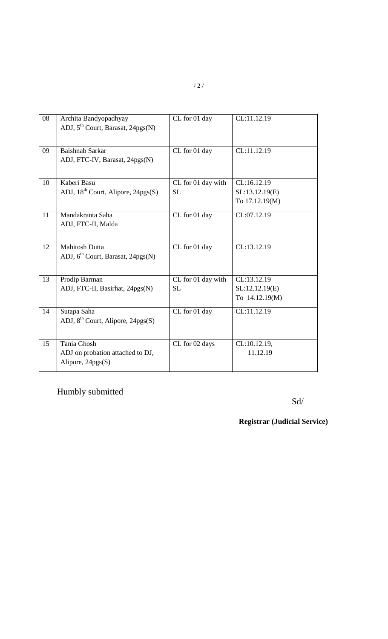| 08 | Archita Bandyopadhyay                          | CL for 01 day      | CL:11.12.19    |
|----|------------------------------------------------|--------------------|----------------|
|    | ADJ, 5 <sup>th</sup> Court, Barasat, 24pgs(N)  |                    |                |
|    |                                                |                    |                |
|    |                                                |                    |                |
| 09 | <b>Baishnab Sarkar</b>                         | CL for 01 day      | CL:11.12.19    |
|    | ADJ, FTC-IV, Barasat, 24pgs(N)                 |                    |                |
|    |                                                |                    |                |
|    |                                                |                    |                |
| 10 | Kaberi Basu                                    | CL for 01 day with | CL:16.12.19    |
|    | ADJ, 18 <sup>th</sup> Court, Alipore, 24pgs(S) | <b>SL</b>          | SL:13.12.19(E) |
|    |                                                |                    | To 17.12.19(M) |
|    |                                                |                    |                |
| 11 | Mandakranta Saha                               | CL for 01 day      | CL:07.12.19    |
|    | ADJ, FTC-II, Malda                             |                    |                |
|    |                                                |                    |                |
| 12 | <b>Mahitosh Dutta</b>                          | CL for 01 day      | CL:13.12.19    |
|    |                                                |                    |                |
|    | ADJ, 6 <sup>th</sup> Court, Barasat, 24pgs(N)  |                    |                |
|    |                                                |                    |                |
| 13 | Prodip Barman                                  | CL for 01 day with | CL:13.12.19    |
|    | ADJ, FTC-II, Basirhat, 24pgs(N)                | <b>SL</b>          | SL:12.12.19(E) |
|    |                                                |                    | To 14.12.19(M) |
|    |                                                |                    |                |
| 14 | Sutapa Saha                                    | CL for 01 day      | CL:11.12.19    |
|    | ADJ, $8^{th}$ Court, Alipore, 24pgs(S)         |                    |                |
|    |                                                |                    |                |
|    |                                                |                    |                |
| 15 | Tania Ghosh                                    | CL for 02 days     | CL:10.12.19,   |
|    | ADJ on probation attached to DJ,               |                    | 11.12.19       |
|    | Alipore, 24pgs(S)                              |                    |                |
|    |                                                |                    |                |

Humbly submitted

Sd/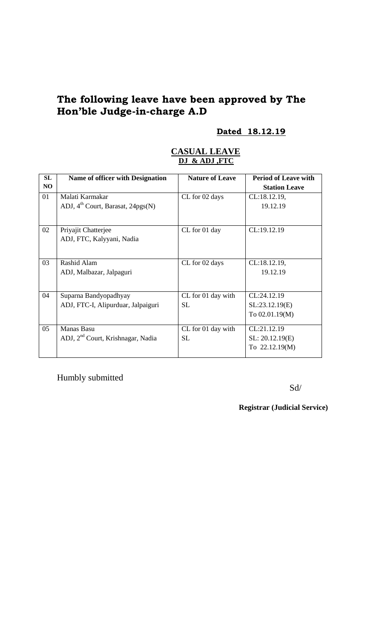# **The following leave have been approved by The Hon'ble Judge-in-charge A.D**

# **Dated 18.12.19**

#### **CASUAL LEAVE DJ & ADJ ,FTC**

| SL | <b>Name of officer with Designation</b>       | <b>Nature of Leave</b> | <b>Period of Leave with</b> |
|----|-----------------------------------------------|------------------------|-----------------------------|
| NO |                                               |                        | <b>Station Leave</b>        |
| 01 | Malati Karmakar                               | CL for 02 days         | CL:18.12.19,                |
|    | ADJ, 4 <sup>th</sup> Court, Barasat, 24pgs(N) |                        | 19.12.19                    |
|    |                                               |                        |                             |
| 02 | Priyajit Chatterjee                           | CL for 01 day          | CL:19.12.19                 |
|    | ADJ, FTC, Kalyyani, Nadia                     |                        |                             |
|    |                                               |                        |                             |
| 03 | Rashid Alam                                   | CL for 02 days         | CL:18.12.19,                |
|    | ADJ, Malbazar, Jalpaguri                      |                        | 19.12.19                    |
|    |                                               |                        |                             |
| 04 | Suparna Bandyopadhyay                         | CL for 01 day with     | CL:24.12.19                 |
|    | ADJ, FTC-I, Alipurduar, Jalpaiguri            | <b>SL</b>              | SL:23.12.19(E)              |
|    |                                               |                        | To 02.01.19(M)              |
|    |                                               |                        |                             |
| 05 | <b>Manas Basu</b>                             | CL for 01 day with     | CL:21.12.19                 |
|    | ADJ, 2 <sup>nd</sup> Court, Krishnagar, Nadia | SL.                    | SL: 20.12.19(E)             |
|    |                                               |                        | To 22.12.19(M)              |
|    |                                               |                        |                             |

Humbly submitted

Sd/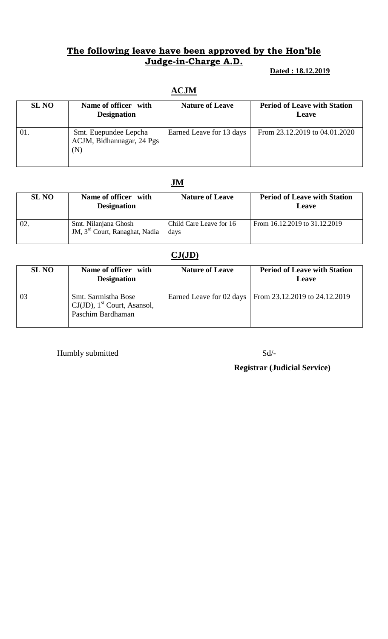#### **The following leave have been approved by the Hon'ble Judge-in-Charge A.D.**

#### **Dated : 18.12.2019**

# **ACJM**

| <b>SL NO</b> | Name of officer with<br><b>Designation</b>                | <b>Nature of Leave</b>   | <b>Period of Leave with Station</b><br><b>Leave</b> |
|--------------|-----------------------------------------------------------|--------------------------|-----------------------------------------------------|
| -01.         | Smt. Euepundee Lepcha<br>ACJM, Bidhannagar, 24 Pgs<br>(N) | Earned Leave for 13 days | From 23.12.2019 to 04.01.2020                       |

### **JM**

| <b>SL NO</b> | Name of officer with<br><b>Designation</b>                         | <b>Nature of Leave</b>          | <b>Period of Leave with Station</b><br><b>Leave</b> |
|--------------|--------------------------------------------------------------------|---------------------------------|-----------------------------------------------------|
| 02.          | Smt. Nilanjana Ghosh<br>JM, 3 <sup>rd</sup> Court, Ranaghat, Nadia | Child Care Leave for 16<br>days | From 16.12.2019 to 31.12.2019                       |

# **CJ(JD)**

| <b>SL NO</b>   | Name of officer with<br><b>Designation</b>                                             | <b>Nature of Leave</b> | <b>Period of Leave with Station</b><br>Leave             |
|----------------|----------------------------------------------------------------------------------------|------------------------|----------------------------------------------------------|
| 0 <sup>3</sup> | Smt. Sarmistha Bose<br>$CJ(JD)$ , 1 <sup>st</sup> Court, Asansol,<br>Paschim Bardhaman |                        | Earned Leave for 02 days   From 23.12.2019 to 24.12.2019 |

Humbly submitted Sd/-